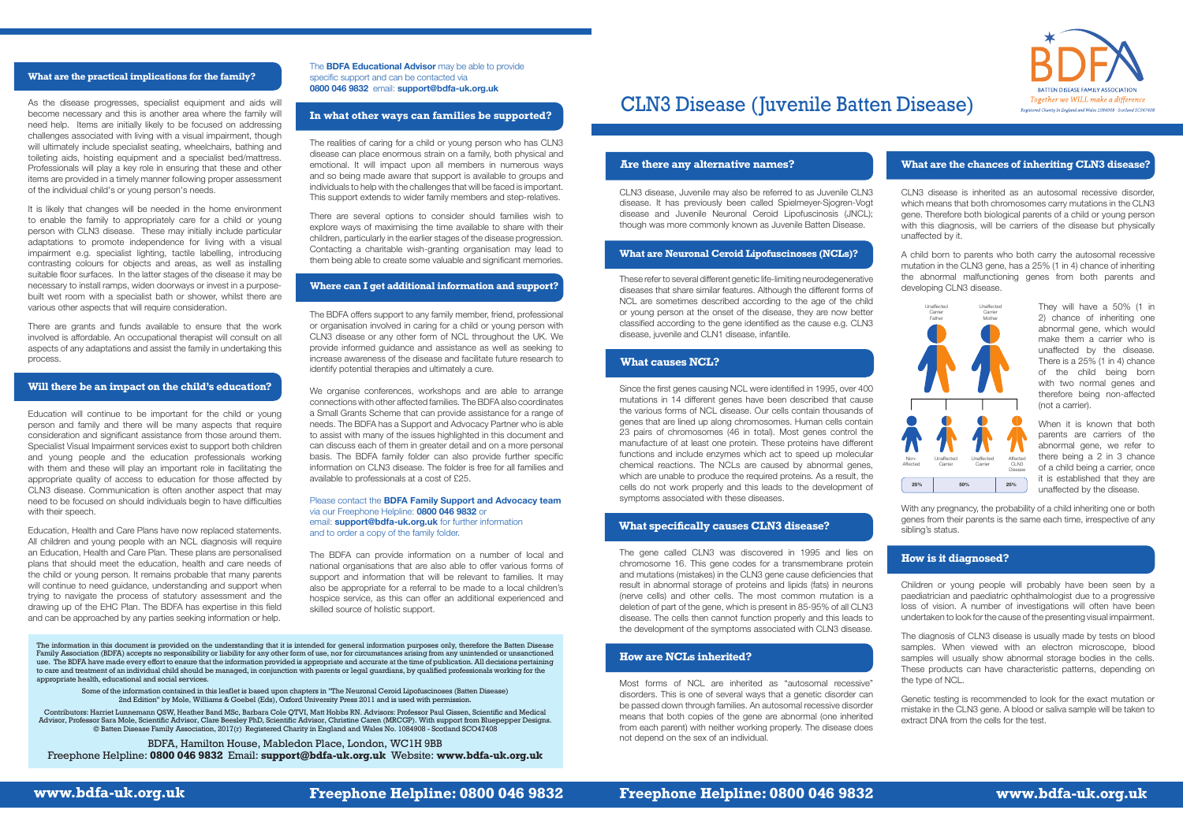**www.bdfa-uk.org.uk Freephone Helpline: 0800 046 9832 Freephone Helpline: 0800 046 9832 www.bdfa-uk.org.uk**



# CLN3 Disease (Juvenile Batten Disease)

#### **Are there any alternative names?**

# **What causes NCL?**

CLN3 disease, Juvenile may also be referred to as Juvenile CLN3 disease. It has previously been called Spielmeyer-Sjogren-Vogt disease and Juvenile Neuronal Ceroid Lipofuscinosis (JNCL); though was more commonly known as Juvenile Batten Disease.

These refer to several different genetic life-limiting neurodegenerative diseases that share similar features. Although the different forms of NCL are sometimes described according to the age of the child or young person at the onset of the disease, they are now better classified according to the gene identified as the cause e.g. CLN3 disease, juvenile and CLN1 disease, infantile.

Since the first genes causing NCL were identified in 1995, over 400 mutations in 14 different genes have been described that cause the various forms of NCL disease. Our cells contain thousands of genes that are lined up along chromosomes. Human cells contain 23 pairs of chromosomes (46 in total). Most genes control the manufacture of at least one protein. These proteins have different functions and include enzymes which act to speed up molecular chemical reactions. The NCLs are caused by abnormal genes, which are unable to produce the required proteins. As a result, the cells do not work properly and this leads to the development of symptoms associated with these diseases.

With any pregnancy, the probability of a child inheriting one or both genes from their parents is the same each time, irrespective of any sibling's status.

The gene called CLN3 was discovered in 1995 and lies on chromosome 16. This gene codes for a transmembrane protein and mutations (mistakes) in the CLN3 gene cause deficiencies that result in abnormal storage of proteins and lipids (fats) in neurons (nerve cells) and other cells. The most common mutation is a deletion of part of the gene, which is present in 85-95% of all CLN3 disease. The cells then cannot function properly and this leads to the development of the symptoms associated with CLN3 disease.

Most forms of NCL are inherited as "autosomal recessive" disorders. This is one of several ways that a genetic disorder can be passed down through families. An autosomal recessive disorder means that both copies of the gene are abnormal (one inherited from each parent) with neither working properly. The disease does not depend on the sex of an individual.

CLN3 disease is inherited as an autosomal recessive disorder, which means that both chromosomes carry mutations in the CLN3 gene. Therefore both biological parents of a child or young person with this diagnosis, will be carriers of the disease but physically unaffected by it.

A child born to parents who both carry the autosomal recessive mutation in the CLN3 gene, has a 25% (1 in 4) chance of inheriting the abnormal malfunctioning genes from both parents and developing CLN3 disease.

Education will continue to be important for the child or young person and family and there will be many aspects that require consideration and significant assistance from those around them. Specialist Visual Impairment services exist to support both children and young people and the education professionals working with them and these will play an important role in facilitating the appropriate quality of access to education for those affected by CLN3 disease. Communication is often another aspect that may need to be focused on should individuals begin to have difficulties with their speech.

They will have a 50% (1 in 2) chance of inheriting one abnormal gene, which would make them a carrier who is unaffected by the disease. There is a 25% (1 in 4) chance of the child being born with two normal genes and therefore being non-affected (not a carrier).

When it is known that both parents are carriers of the abnormal gene, we refer to there being a 2 in 3 chance of a child being a carrier, once it is established that they are unaffected by the disease.

Children or young people will probably have been seen by a paediatrician and paediatric ophthalmologist due to a progressive loss of vision. A number of investigations will often have been undertaken to look for the cause of the presenting visual impairment.

The diagnosis of CLN3 disease is usually made by tests on blood samples. When viewed with an electron microscope, blood samples will usually show abnormal storage bodies in the cells. These products can have characteristic patterns, depending on the type of NCL.

Genetic testing is recommended to look for the exact mutation or mistake in the CLN3 gene. A blood or saliva sample will be taken to extract DNA from the cells for the test.

As the disease progresses, specialist equipment and aids will become necessary and this is another area where the family will need help. Items are initially likely to be focused on addressing challenges associated with living with a visual impairment, though will ultimately include specialist seating, wheelchairs, bathing and toileting aids, hoisting equipment and a specialist bed/mattress. Professionals will play a key role in ensuring that these and other items are provided in a timely manner following proper assessment of the individual child's or young person's needs.

It is likely that changes will be needed in the home environment to enable the family to appropriately care for a child or young person with CLN3 disease. These may initially include particular adaptations to promote independence for living with a visual impairment e.g. specialist lighting, tactile labelling, introducing contrasting colours for objects and areas, as well as installing suitable floor surfaces. In the latter stages of the disease it may be necessary to install ramps, widen doorways or invest in a purposebuilt wet room with a specialist bath or shower, whilst there are various other aspects that will require consideration.

There are grants and funds available to ensure that the work involved is affordable. An occupational therapist will consult on all aspects of any adaptations and assist the family in undertaking this process.

Education, Health and Care Plans have now replaced statements. All children and young people with an NCL diagnosis will require an Education, Health and Care Plan. These plans are personalised plans that should meet the education, health and care needs of the child or young person. It remains probable that many parents will continue to need quidance, understanding and support when trying to navigate the process of statutory assessment and the drawing up of the EHC Plan. The BDFA has expertise in this field and can be approached by any parties seeking information or help.

# **What specifically causes CLN3 disease?**

# **How are NCLs inherited?**

# **What are the chances of inheriting CLN3 disease?**



# **How is it diagnosed?**

#### **Will there be an impact on the child's education?**

#### **What are the practical implications for the family?**

The **BDFA Educational Advisor** may be able to provide specific support and can be contacted via **0800 046 9832** email: **support@bdfa-uk.org.uk**

The realities of caring for a child or young person who has CLN3 disease can place enormous strain on a family, both physical and emotional. It will impact upon all members in numerous ways and so being made aware that support is available to groups and individuals to help with the challenges that will be faced is important. This support extends to wider family members and step-relatives.

There are several options to consider should families wish to explore ways of maximising the time available to share with their children, particularly in the earlier stages of the disease progression. Contacting a charitable wish-granting organisation may lead to them being able to create some valuable and significant memories.

The BDFA offers support to any family member, friend, professional or organisation involved in caring for a child or young person with CLN3 disease or any other form of NCL throughout the UK. We provide informed guidance and assistance as well as seeking to increase awareness of the disease and facilitate future research to identify potential therapies and ultimately a cure.

We organise conferences, workshops and are able to arrange connections with other affected families. The BDFA also coordinates a Small Grants Scheme that can provide assistance for a range of needs. The BDFA has a Support and Advocacy Partner who is able to assist with many of the issues highlighted in this document and can discuss each of them in greater detail and on a more personal basis. The BDFA family folder can also provide further specific information on CLN3 disease. The folder is free for all families and available to professionals at a cost of £25.

#### Please contact the **BDFA Family Support and Advocacy team** via our Freephone Helpline: **0800 046 9832** or email: **support@bdfa-uk.org.uk** for further information and to order a copy of the family folder.

The BDFA can provide information on a number of local and national organisations that are also able to offer various forms of support and information that will be relevant to families. It may also be appropriate for a referral to be made to a local children's hospice service, as this can offer an additional experienced and skilled source of holistic support.

The information in this document is provided on the understanding that it is intended for general information purposes only, therefore the Batten Disease Family Association (BDFA) accepts no responsibility or liability for any other form of use, nor for circumstances arising from any unintended or unsanctioned use. The BDFA have made every effort to ensure that the information provided is appropriate and accurate at the time of publication. All decisions pertaining to care and treatment of an individual child should be managed, in conjunction with parents or legal guardians, by qualified professionals working for the appropriate health, educational and social services.

Some of the information contained in this leaflet is based upon chapters in "The Neuronal Ceroid Lipofuscinoses (Batten Disease) 2nd Edition" by Mole, Williams & Goebel (Eds), Oxford University Press 2011 and is used with permission.

Contributors: Harriet Lunnemann QSW, Heather Band MSc, Barbara Cole QTVI, Matt Hobbs RN. Advisors: Professor Paul Gissen, Scientific and Medical Advisor, Professor Sara Mole, Scientific Advisor, Clare Beesley PhD, Scientific Advisor, Christine Caren (MRCGP). With support from Bluepepper Designs. © Batten Disease Family Association, 2017(r) Registered Charity in England and Wales No. 1084908 - Scotland SCO47408

BDFA, Hamilton House, Mabledon Place, London, WC1H 9BB Freephone Helpline: **0800 046 9832** Email: **support@bdfa-uk.org.uk** Website: **www.bdfa-uk.org.uk**

#### **Where can I get additional information and support?**

### **In what other ways can families be supported?**

#### **What are Neuronal Ceroid Lipofuscinoses (NCLs)?**